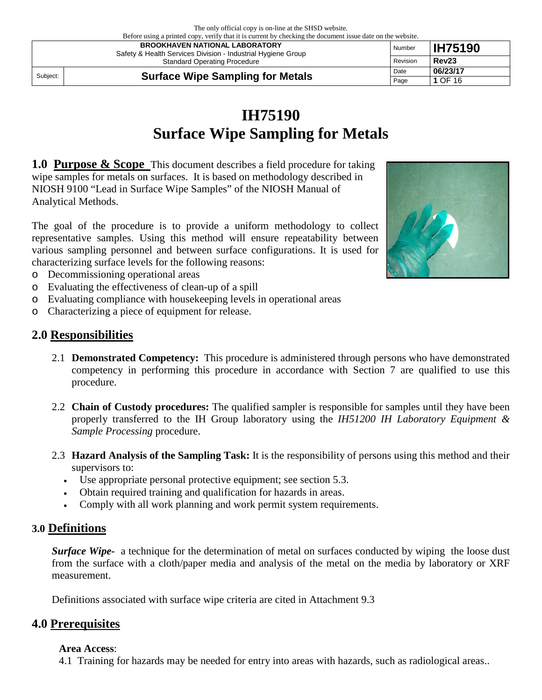| Defore using a printed copy, verify that it is current by checking the document issue date on the website.<br><b>BROOKHAVEN NATIONAL LABORATORY</b><br>Safety & Health Services Division - Industrial Hygiene Group |                                         | Number | <b>IH75190</b>    |
|---------------------------------------------------------------------------------------------------------------------------------------------------------------------------------------------------------------------|-----------------------------------------|--------|-------------------|
| Revision<br><b>Standard Operating Procedure</b>                                                                                                                                                                     |                                         |        | Rev <sub>23</sub> |
| Subject:                                                                                                                                                                                                            |                                         | Date   | 06/23/17          |
|                                                                                                                                                                                                                     | <b>Surface Wipe Sampling for Metals</b> | Page   | 1 OF 16           |

# **IH75190 Surface Wipe Sampling for Metals**

**1.0 Purpose & Scope** This document describes a field procedure for taking wipe samples for metals on surfaces. It is based on methodology described in NIOSH 9100 "Lead in Surface Wipe Samples" of the NIOSH Manual of Analytical Methods.

The goal of the procedure is to provide a uniform methodology to collect representative samples. Using this method will ensure repeatability between various sampling personnel and between surface configurations. It is used for characterizing surface levels for the following reasons:

- o Decommissioning operational areas
- o Evaluating the effectiveness of clean-up of a spill
- o Evaluating compliance with housekeeping levels in operational areas
- o Characterizing a piece of equipment for release.

#### **2.0 Responsibilities**

- 2.1 **Demonstrated Competency:** This procedure is administered through persons who have demonstrated competency in performing this procedure in accordance with Section 7 are qualified to use this procedure.
- 2.2 **Chain of Custody procedures:** The qualified sampler is responsible for samples until they have been properly transferred to the IH Group laboratory using the *IH51200 IH Laboratory Equipment & Sample Processing* procedure.
- 2.3 **Hazard Analysis of the Sampling Task:** It is the responsibility of persons using this method and their supervisors to:
	- Use appropriate personal protective equipment; see section 5.3.
	- Obtain required training and qualification for hazards in areas.
	- Comply with all work planning and work permit system requirements.

#### **3.0 Definitions**

*Surface Wipe*- a technique for the determination of metal on surfaces conducted by wiping the loose dust from the surface with a cloth/paper media and analysis of the metal on the media by laboratory or XRF measurement.

Definitions associated with surface wipe criteria are cited in Attachment 9.3

#### **4.0 Prerequisites**

#### **Area Access**:

4.1 Training for hazards may be needed for entry into areas with hazards, such as radiological areas..

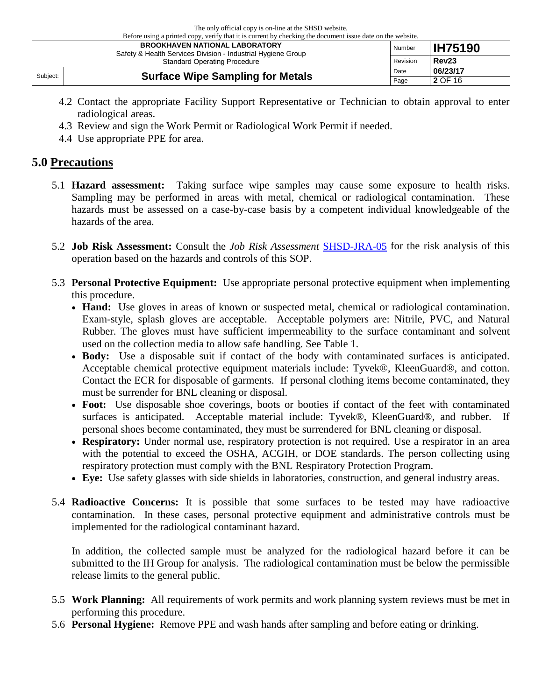The only official copy is on-line at the SHSD website.  $\tilde{B}$  is a prime it is current by checking the document issue date on the website.

| Defore using a princed copy, verify that it is current by cheeking the document issue date on the website.<br><b>BROOKHAVEN NATIONAL LABORATORY</b><br>Safety & Health Services Division - Industrial Hygiene Group |  | Number | <b>IH75190</b>    |
|---------------------------------------------------------------------------------------------------------------------------------------------------------------------------------------------------------------------|--|--------|-------------------|
| Revision<br><b>Standard Operating Procedure</b>                                                                                                                                                                     |  |        | Rev <sub>23</sub> |
| <b>Surface Wipe Sampling for Metals</b><br>Subject:                                                                                                                                                                 |  | Date   | 06/23/17          |
|                                                                                                                                                                                                                     |  | Page   | 2 OF 16           |

- 4.2 Contact the appropriate Facility Support Representative or Technician to obtain approval to enter radiological areas.
- 4.3 Review and sign the Work Permit or Radiological Work Permit if needed.
- 4.4 Use appropriate PPE for area.

#### **5.0 Precautions**

- 5.1 **Hazard assessment:** Taking surface wipe samples may cause some exposure to health risks. Sampling may be performed in areas with metal, chemical or radiological contamination. These hazards must be assessed on a case-by-case basis by a competent individual knowledgeable of the hazards of the area.
- 5.2 **Job Risk Assessment:** Consult the *Job Risk Assessment* [SHSD-JRA-05](http://www.bnl.gov/esh/shsd/OHSAS/WordDocs/ESHQ/SHSD/SHSD_JRAs/JRA_05_IH_sampling%20.doc) for the risk analysis of this operation based on the hazards and controls of this SOP.
- 5.3 **Personal Protective Equipment:** Use appropriate personal protective equipment when implementing this procedure.
	- **Hand:** Use gloves in areas of known or suspected metal, chemical or radiological contamination. Exam-style, splash gloves are acceptable. Acceptable polymers are: Nitrile, PVC, and Natural Rubber. The gloves must have sufficient impermeability to the surface contaminant and solvent used on the collection media to allow safe handling. See Table 1.
	- **Body:** Use a disposable suit if contact of the body with contaminated surfaces is anticipated. Acceptable chemical protective equipment materials include: Tyvek®, KleenGuard®, and cotton. Contact the ECR for disposable of garments. If personal clothing items become contaminated, they must be surrender for BNL cleaning or disposal.
	- Foot: Use disposable shoe coverings, boots or booties if contact of the feet with contaminated surfaces is anticipated. Acceptable material include: Tyvek®, KleenGuard®, and rubber. If personal shoes become contaminated, they must be surrendered for BNL cleaning or disposal.
	- Respiratory: Under normal use, respiratory protection is not required. Use a respirator in an area with the potential to exceed the OSHA, ACGIH, or DOE standards. The person collecting using respiratory protection must comply with the BNL Respiratory Protection Program.
	- **Eye:** Use safety glasses with side shields in laboratories, construction, and general industry areas.
- 5.4 **Radioactive Concerns:** It is possible that some surfaces to be tested may have radioactive contamination. In these cases, personal protective equipment and administrative controls must be implemented for the radiological contaminant hazard.

In addition, the collected sample must be analyzed for the radiological hazard before it can be submitted to the IH Group for analysis. The radiological contamination must be below the permissible release limits to the general public.

- 5.5 **Work Planning:** All requirements of work permits and work planning system reviews must be met in performing this procedure.
- 5.6 **Personal Hygiene:** Remove PPE and wash hands after sampling and before eating or drinking.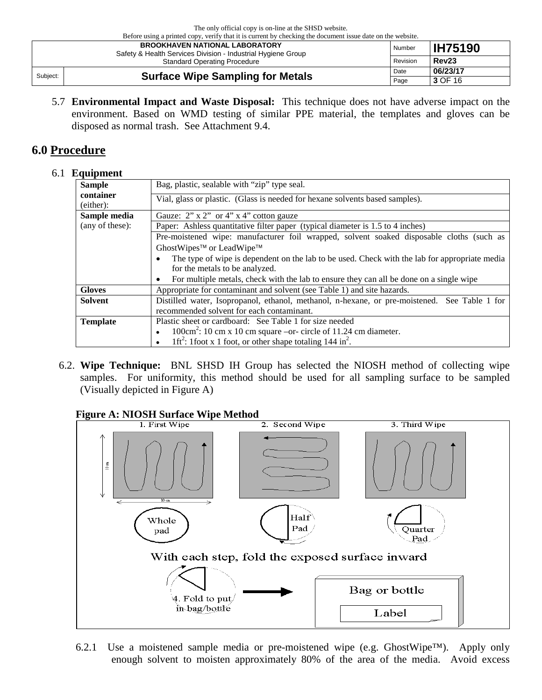| Defore using a printed copy, verify that it is current by checking the document issue date on the website.<br><b>BROOKHAVEN NATIONAL LABORATORY</b><br>Safety & Health Services Division - Industrial Hygiene Group |                                         | Number | <b>IH75190</b>    |
|---------------------------------------------------------------------------------------------------------------------------------------------------------------------------------------------------------------------|-----------------------------------------|--------|-------------------|
| Revision<br><b>Standard Operating Procedure</b>                                                                                                                                                                     |                                         |        | Rev <sub>23</sub> |
| Subject:                                                                                                                                                                                                            | <b>Surface Wipe Sampling for Metals</b> |        | 06/23/17          |
|                                                                                                                                                                                                                     |                                         | Page   | 3 OF 16           |

5.7 **Environmental Impact and Waste Disposal:** This technique does not have adverse impact on the environment. Based on WMD testing of similar PPE material, the templates and gloves can be disposed as normal trash. See Attachment 9.4.

## **6.0 Procedure**

#### 6.1 **Equipment**

| <b>Sample</b>                                                                                          | Bag, plastic, sealable with "zip" type seal.                                                  |  |  |  |
|--------------------------------------------------------------------------------------------------------|-----------------------------------------------------------------------------------------------|--|--|--|
| container<br>Vial, glass or plastic. (Glass is needed for hexane solvents based samples).<br>(either): |                                                                                               |  |  |  |
| Sample media                                                                                           | Gauze: $2$ " x $2$ " or $4$ " x $4$ " cotton gauze                                            |  |  |  |
| (any of these):                                                                                        | Paper: Ashless quantitative filter paper (typical diameter is 1.5 to 4 inches)                |  |  |  |
|                                                                                                        | Pre-moistened wipe: manufacturer foil wrapped, solvent soaked disposable cloths (such as      |  |  |  |
|                                                                                                        | GhostWipes <sup>™</sup> or LeadWipe™                                                          |  |  |  |
|                                                                                                        | The type of wipe is dependent on the lab to be used. Check with the lab for appropriate media |  |  |  |
|                                                                                                        | for the metals to be analyzed.                                                                |  |  |  |
|                                                                                                        | For multiple metals, check with the lab to ensure they can all be done on a single wipe       |  |  |  |
| <b>Gloves</b>                                                                                          | Appropriate for contaminant and solvent (see Table 1) and site hazards.                       |  |  |  |
| <b>Solvent</b>                                                                                         | Distilled water, Isopropanol, ethanol, methanol, n-hexane, or pre-moistened. See Table 1 for  |  |  |  |
|                                                                                                        | recommended solvent for each contaminant.                                                     |  |  |  |
| <b>Template</b>                                                                                        | Plastic sheet or cardboard: See Table 1 for size needed                                       |  |  |  |
|                                                                                                        | $100 \text{cm}^2$ : 10 cm x 10 cm square –or- circle of 11.24 cm diameter.                    |  |  |  |
|                                                                                                        | 1ft <sup>2</sup> : 1 foot x 1 foot, or other shape totaling 144 in <sup>2</sup> .             |  |  |  |

6.2. **Wipe Technique:** BNL SHSD IH Group has selected the NIOSH method of collecting wipe samples. For uniformity, this method should be used for all sampling surface to be sampled (Visually depicted in Figure A)

# **Figure A: NIOSH Surface Wipe Method**



6.2.1 Use a moistened sample media or pre-moistened wipe (e.g. GhostWipe<sup>TM</sup>). Apply only enough solvent to moisten approximately 80% of the area of the media. Avoid excess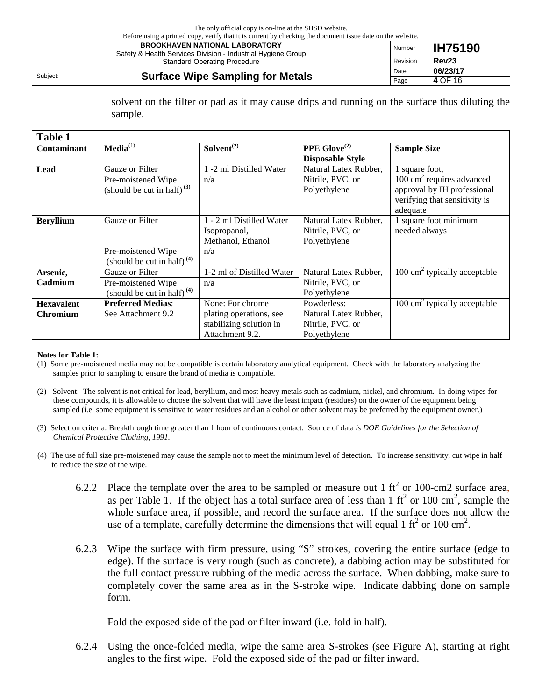Before using a printed copy, verify that it is current by checking the document issue date on the website.

| <b>BROOKHAVEN NATIONAL LABORATORY</b><br>Safety & Health Services Division - Industrial Hygiene Group |  | Number | <b>IH75190</b>    |
|-------------------------------------------------------------------------------------------------------|--|--------|-------------------|
| Revision<br><b>Standard Operating Procedure</b>                                                       |  |        | Rev <sub>23</sub> |
| <b>Surface Wipe Sampling for Metals</b><br>Subject:                                                   |  | Date   | 06/23/17          |
|                                                                                                       |  | Page   | 4 OF 16           |

solvent on the filter or pad as it may cause drips and running on the surface thus diluting the sample.

| <b>Table 1</b>     |                                  |                           |                                 |                                         |
|--------------------|----------------------------------|---------------------------|---------------------------------|-----------------------------------------|
| <b>Contaminant</b> | $Media^{(1)}$                    | Solvent <sup>(2)</sup>    | <b>PPE</b> Glove <sup>(2)</sup> | <b>Sample Size</b>                      |
|                    |                                  |                           | <b>Disposable Style</b>         |                                         |
| Lead               | Gauze or Filter                  | 1 -2 ml Distilled Water   | Natural Latex Rubber,           | 1 square foot,                          |
|                    | Pre-moistened Wipe               | n/a                       | Nitrile, PVC, or                | $100 \text{ cm}^2$ requires advanced    |
|                    | (should be cut in half) $^{(3)}$ |                           | Polyethylene                    | approval by IH professional             |
|                    |                                  |                           |                                 | verifying that sensitivity is           |
|                    |                                  |                           |                                 | adequate                                |
| <b>Beryllium</b>   | Gauze or Filter                  | 1 - 2 ml Distilled Water  | Natural Latex Rubber,           | 1 square foot minimum                   |
|                    |                                  | Isopropanol,              | Nitrile, PVC, or                | needed always                           |
|                    |                                  | Methanol, Ethanol         | Polyethylene                    |                                         |
|                    | Pre-moistened Wipe               | n/a                       |                                 |                                         |
|                    | (should be cut in half) $(4)$    |                           |                                 |                                         |
| Arsenic,           | Gauze or Filter                  | 1-2 ml of Distilled Water | Natural Latex Rubber,           | $100 \text{ cm}^2$ typically acceptable |
| Cadmium            | Pre-moistened Wipe               | n/a                       | Nitrile, PVC, or                |                                         |
|                    | (should be cut in half) $(4)$    |                           | Polyethylene                    |                                         |
| <b>Hexavalent</b>  | <b>Preferred Medias:</b>         | None: For chrome          | Powderless:                     | $100 \text{ cm}^2$ typically acceptable |
| <b>Chromium</b>    | See Attachment 9.2               | plating operations, see   | Natural Latex Rubber,           |                                         |
|                    |                                  | stabilizing solution in   | Nitrile, PVC, or                |                                         |
|                    |                                  | Attachment 9.2.           | Polyethylene                    |                                         |

#### **Notes for Table 1:**

(1) Some pre-moistened media may not be compatible is certain laboratory analytical equipment. Check with the laboratory analyzing the samples prior to sampling to ensure the brand of media is compatible.

- (2) Solvent: The solvent is not critical for lead, beryllium, and most heavy metals such as cadmium, nickel, and chromium. In doing wipes for these compounds, it is allowable to choose the solvent that will have the least impact (residues) on the owner of the equipment being sampled (i.e. some equipment is sensitive to water residues and an alcohol or other solvent may be preferred by the equipment owner.)
- (3) Selection criteria: Breakthrough time greater than 1 hour of continuous contact. Source of data *is DOE Guidelines for the Selection of Chemical Protective Clothing, 1991.*
- (4) The use of full size pre-moistened may cause the sample not to meet the minimum level of detection. To increase sensitivity, cut wipe in half to reduce the size of the wipe.
	- 6.2.2 Place the template over the area to be sampled or measure out 1  $\text{ft}^2$  or 100-cm2 surface area, as per Table 1. If the object has a total surface area of less than 1 ft<sup>2</sup> or 100 cm<sup>2</sup>, sample the whole surface area, if possible, and record the surface area. If the surface does not allow the use of a template, carefully determine the dimensions that will equal 1 ft<sup>2</sup> or 100 cm<sup>2</sup>.
	- 6.2.3 Wipe the surface with firm pressure, using "S" strokes, covering the entire surface (edge to edge). If the surface is very rough (such as concrete), a dabbing action may be substituted for the full contact pressure rubbing of the media across the surface. When dabbing, make sure to completely cover the same area as in the S-stroke wipe. Indicate dabbing done on sample form.

Fold the exposed side of the pad or filter inward (i.e. fold in half).

6.2.4 Using the once-folded media, wipe the same area S-strokes (see Figure A), starting at right angles to the first wipe. Fold the exposed side of the pad or filter inward.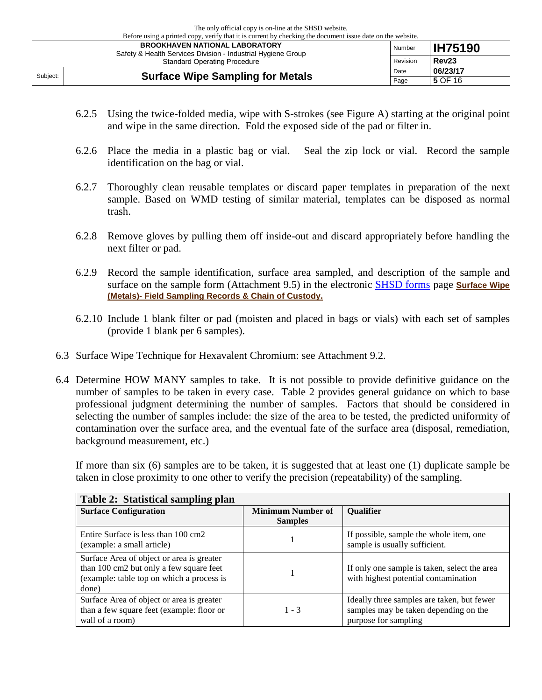| Before using a printed copy, verify that it is current by checking the document issue date on the website. |                                         |        |                   |  |
|------------------------------------------------------------------------------------------------------------|-----------------------------------------|--------|-------------------|--|
| <b>BROOKHAVEN NATIONAL LABORATORY</b><br>Safety & Health Services Division - Industrial Hygiene Group      |                                         | Number | <b>IH75190</b>    |  |
| Revision<br><b>Standard Operating Procedure</b>                                                            |                                         |        | Rev <sub>23</sub> |  |
| Subject:                                                                                                   |                                         | Date   | 06/23/17          |  |
|                                                                                                            | <b>Surface Wipe Sampling for Metals</b> | Page   | 5 OF 16           |  |

- 6.2.5 Using the twice-folded media, wipe with S-strokes (see Figure A) starting at the original point and wipe in the same direction. Fold the exposed side of the pad or filter in.
- 6.2.6 Place the media in a plastic bag or vial. Seal the zip lock or vial. Record the sample identification on the bag or vial.
- 6.2.7 Thoroughly clean reusable templates or discard paper templates in preparation of the next sample. Based on WMD testing of similar material, templates can be disposed as normal trash.
- 6.2.8 Remove gloves by pulling them off inside-out and discard appropriately before handling the next filter or pad.
- 6.2.9 Record the sample identification, surface area sampled, and description of the sample and surface on the sample form (Attachment 9.5) in the electronic [SHSD forms](https://intranet.bnl.gov/esh/shsd/sop/IH_SOPs/e_Forms_C_of_C/index_e_Forms.php) page **Surface Wipe (Metals)- Field Sampling Records & Chain of Custody.**
- 6.2.10 Include 1 blank filter or pad (moisten and placed in bags or vials) with each set of samples (provide 1 blank per 6 samples).
- 6.3 Surface Wipe Technique for Hexavalent Chromium: see Attachment 9.2.
- 6.4 Determine HOW MANY samples to take. It is not possible to provide definitive guidance on the number of samples to be taken in every case. Table 2 provides general guidance on which to base professional judgment determining the number of samples. Factors that should be considered in selecting the number of samples include: the size of the area to be tested, the predicted uniformity of contamination over the surface area, and the eventual fate of the surface area (disposal, remediation, background measurement, etc.)

If more than six (6) samples are to be taken, it is suggested that at least one (1) duplicate sample be taken in close proximity to one other to verify the precision (repeatability) of the sampling.

| Table 2: Statistical sampling plan                                                                                                         |                                            |                                                                                                             |
|--------------------------------------------------------------------------------------------------------------------------------------------|--------------------------------------------|-------------------------------------------------------------------------------------------------------------|
| <b>Surface Configuration</b>                                                                                                               | <b>Minimum Number of</b><br><b>Samples</b> | <b>Qualifier</b>                                                                                            |
| Entire Surface is less than 100 cm2<br>(example: a small article)                                                                          |                                            | If possible, sample the whole item, one<br>sample is usually sufficient.                                    |
| Surface Area of object or area is greater<br>than 100 cm2 but only a few square feet<br>(example: table top on which a process is<br>done) |                                            | If only one sample is taken, select the area<br>with highest potential contamination                        |
| Surface Area of object or area is greater<br>than a few square feet (example: floor or<br>wall of a room)                                  | $1 - 3$                                    | Ideally three samples are taken, but fewer<br>samples may be taken depending on the<br>purpose for sampling |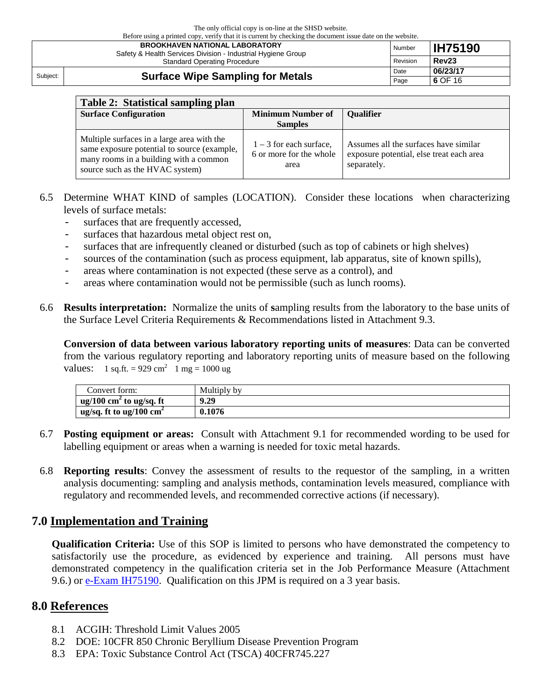| Before using a printed copy, verify that it is current by checking the document issue date on the website.                                   |                                         |          |                   |  |
|----------------------------------------------------------------------------------------------------------------------------------------------|-----------------------------------------|----------|-------------------|--|
| <b>BROOKHAVEN NATIONAL LABORATORY</b><br>Safety & Health Services Division - Industrial Hygiene Group<br><b>Standard Operating Procedure</b> |                                         | Number   | <b>IH75190</b>    |  |
|                                                                                                                                              |                                         | Revision | Rev <sub>23</sub> |  |
| Subject:                                                                                                                                     | <b>Surface Wipe Sampling for Metals</b> | Date     | 06/23/17          |  |
|                                                                                                                                              |                                         | Page     | 6 OF 16           |  |

| Table 2: Statistical sampling plan                                                                                                                                     |                                                              |                                                                                                  |
|------------------------------------------------------------------------------------------------------------------------------------------------------------------------|--------------------------------------------------------------|--------------------------------------------------------------------------------------------------|
| <b>Surface Configuration</b>                                                                                                                                           | <b>Minimum Number of</b>                                     | <b>Qualifier</b>                                                                                 |
|                                                                                                                                                                        | <b>Samples</b>                                               |                                                                                                  |
| Multiple surfaces in a large area with the<br>same exposure potential to source (example,<br>many rooms in a building with a common<br>source such as the HVAC system) | $1 - 3$ for each surface,<br>6 or more for the whole<br>area | Assumes all the surfaces have similar<br>exposure potential, else treat each area<br>separately. |

- 6.5 Determine WHAT KIND of samples (LOCATION). Consider these locations when characterizing levels of surface metals:
	- surfaces that are frequently accessed,
	- surfaces that hazardous metal object rest on,
	- surfaces that are infrequently cleaned or disturbed (such as top of cabinets or high shelves)
	- sources of the contamination (such as process equipment, lab apparatus, site of known spills),
	- areas where contamination is not expected (these serve as a control), and<br>- areas where contamination would not be permissible (such as lunch room
	- areas where contamination would not be permissible (such as lunch rooms).
- 6.6 **Results interpretation:** Normalize the units of **s**ampling results from the laboratory to the base units of the Surface Level Criteria Requirements & Recommendations listed in Attachment 9.3.

**Conversion of data between various laboratory reporting units of measures**: Data can be converted from the various regulatory reporting and laboratory reporting units of measure based on the following values: 1 sq.ft. = 929 cm<sup>2</sup> 1 mg = 1000 ug

| Convert form:                         | Multiply by |
|---------------------------------------|-------------|
| $ug/100$ cm <sup>2</sup> to ug/sq. ft | 9.29        |
| ug/sq. ft to ug/100 $\text{cm}^2$     | 0.1076      |

- 6.7 **Posting equipment or areas:** Consult with Attachment 9.1 for recommended wording to be used for labelling equipment or areas when a warning is needed for toxic metal hazards.
- 6.8 **Reporting results**: Convey the assessment of results to the requestor of the sampling, in a written analysis documenting: sampling and analysis methods, contamination levels measured, compliance with regulatory and recommended levels, and recommended corrective actions (if necessary).

#### **7.0 Implementation and Training**

**Qualification Criteria:** Use of this SOP is limited to persons who have demonstrated the competency to satisfactorily use the procedure, as evidenced by experience and training. All persons must have demonstrated competency in the qualification criteria set in the Job Performance Measure (Attachment 9.6.) or [e-Exam IH75190.](https://intranet.bnl.gov/esh/shsd/sop/) Qualification on this JPM is required on a 3 year basis.

#### **8.0 References**

- 8.1 ACGIH: Threshold Limit Values 2005
- 8.2 DOE: 10CFR 850 Chronic Beryllium Disease Prevention Program
- 8.3 EPA: Toxic Substance Control Act (TSCA) 40CFR745.227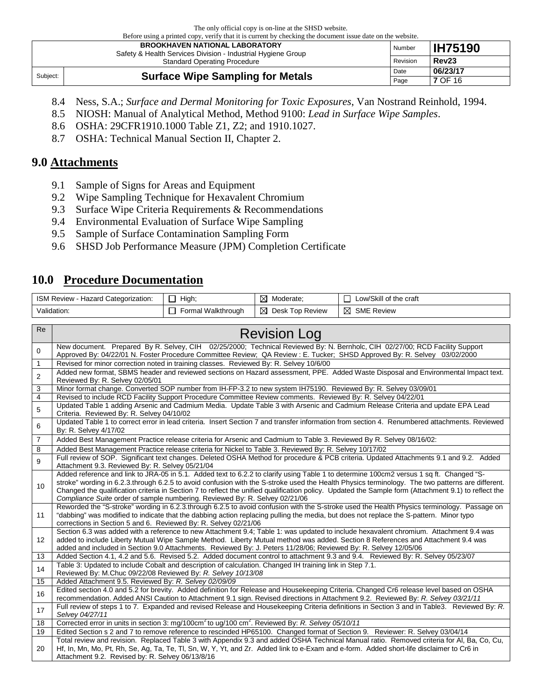The only official copy is on-line at the SHSD website. before using using a printed copy, verify that it is current by checking the document issue date on the website.

| Defore using a printed copy, verify that it is current by checking the document issue date on the website.<br><b>BROOKHAVEN NATIONAL LABORATORY</b><br>Safety & Health Services Division - Industrial Hygiene Group |                                         | Number | <b>IH75190</b>    |
|---------------------------------------------------------------------------------------------------------------------------------------------------------------------------------------------------------------------|-----------------------------------------|--------|-------------------|
| Revision<br><b>Standard Operating Procedure</b>                                                                                                                                                                     |                                         |        | Rev <sub>23</sub> |
| Subject:                                                                                                                                                                                                            | <b>Surface Wipe Sampling for Metals</b> | Date   | 06/23/17          |
|                                                                                                                                                                                                                     |                                         | Page   | <b>7 OF 16</b>    |

- 8.4 Ness, S.A.; *Surface and Dermal Monitoring for Toxic Exposures*, Van Nostrand Reinhold, 1994.
- 8.5 NIOSH: Manual of Analytical Method, Method 9100: *Lead in Surface Wipe Samples*.
- 8.6 OSHA: 29CFR1910.1000 Table Z1, Z2; and 1910.1027.
- 8.7 OSHA: Technical Manual Section II, Chapter 2.

#### **9.0 Attachments**

- 9.1 Sample of Signs for Areas and Equipment
- 9.2 Wipe Sampling Technique for Hexavalent Chromium
- 9.3 Surface Wipe Criteria Requirements & Recommendations
- 9.4 Environmental Evaluation of Surface Wipe Sampling
- 9.5 Sample of Surface Contamination Sampling Form
- 9.6 SHSD Job Performance Measure (JPM) Completion Certificate

#### **10.0 Procedure Documentation**

| <b>ISM Review</b><br>. Hazard Categorization: | High,              | M<br>Moderate:       | Low/Skill of the craft |
|-----------------------------------------------|--------------------|----------------------|------------------------|
| Validation:                                   | Formal Walkthrough | ⊠<br>Desk Top Review | ⊠<br><b>SME Review</b> |

| Re             | <b>Revision Log</b>                                                                                                                                                                                                                                                                                                                                                                                                                                                                                                                |
|----------------|------------------------------------------------------------------------------------------------------------------------------------------------------------------------------------------------------------------------------------------------------------------------------------------------------------------------------------------------------------------------------------------------------------------------------------------------------------------------------------------------------------------------------------|
| 0              | New document. Prepared By R. Selvey, CIH 02/25/2000; Technical Reviewed By: N. Bernholc, CIH 02/27/00; RCD Facility Support<br>Approved By: 04/22/01 N. Foster Procedure Committee Review; QA Review: E. Tucker; SHSD Approved By: R. Selvey 03/02/2000                                                                                                                                                                                                                                                                            |
| $\mathbf{1}$   | Revised for minor correction noted in training classes. Reviewed By: R. Selvey 10/6/00                                                                                                                                                                                                                                                                                                                                                                                                                                             |
| 2              | Added new format, SBMS header and reviewed sections on Hazard assessment, PPE. Added Waste Disposal and Environmental Impact text.<br>Reviewed By: R. Selvey 02/05/01                                                                                                                                                                                                                                                                                                                                                              |
| 3              | Minor format change. Converted SOP number from IH-FP-3.2 to new system IH75190. Reviewed By: R. Selvey 03/09/01                                                                                                                                                                                                                                                                                                                                                                                                                    |
| 4              | Revised to include RCD Facility Support Procedure Committee Review comments. Reviewed By: R. Selvey 04/22/01                                                                                                                                                                                                                                                                                                                                                                                                                       |
| 5              | Updated Table 1 adding Arsenic and Cadmium Media. Update Table 3 with Arsenic and Cadmium Release Criteria and update EPA Lead<br>Criteria. Reviewed By: R. Selvey 04/10/02                                                                                                                                                                                                                                                                                                                                                        |
| 6              | Updated Table 1 to correct error in lead criteria. Insert Section 7 and transfer information from section 4. Renumbered attachments. Reviewed<br>By: R. Selvey 4/17/02                                                                                                                                                                                                                                                                                                                                                             |
| $\overline{7}$ | Added Best Management Practice release criteria for Arsenic and Cadmium to Table 3. Reviewed By R. Selvey 08/16/02:                                                                                                                                                                                                                                                                                                                                                                                                                |
| 8              | Added Best Management Practice release criteria for Nickel to Table 3. Reviewed By: R. Selvey 10/17/02                                                                                                                                                                                                                                                                                                                                                                                                                             |
| 9              | Full review of SOP. Significant text changes. Deleted OSHA Method for procedure & PCB criteria. Updated Attachments 9.1 and 9.2. Added<br>Attachment 9.3. Reviewed By: R. Selvey 05/21/04                                                                                                                                                                                                                                                                                                                                          |
| 10             | Added reference and link to JRA-05 in 5.1. Added text to 6.2.2 to clarify using Table 1 to determine 100cm2 versus 1 sq ft. Changed "S-<br>stroke" wording in 6.2.3.through 6.2.5 to avoid confusion with the S-stroke used the Health Physics terminology. The two patterns are different.<br>Changed the qualification criteria in Section 7 to reflect the unified qualification policy. Updated the Sample form (Attachment 9.1) to reflect the<br>Compliance Suite order of sample numbering. Reviewed By: R. Selvey 02/21/06 |
| 11             | Reworded the "S-stroke" wording in 6.2.3.through 6.2.5 to avoid confusion with the S-stroke used the Health Physics terminology. Passage on<br>"dabbing" was modified to indicate that the dabbing action replacing pulling the media, but does not replace the S-pattern. Minor typo<br>corrections in Section 5 and 6. Reviewed By: R. Selvey 02/21/06                                                                                                                                                                           |
| 12             | Section 6.3 was added with a reference to new Attachment 9.4; Table 1: was updated to include hexavalent chromium. Attachment 9.4 was<br>added to include Liberty Mutual Wipe Sample Method. Liberty Mutual method was added. Section 8 References and Attachment 9.4 was<br>added and included in Section 9.0 Attachments. Reviewed By: J. Peters 11/28/06; Reviewed By: R. Selvey 12/05/06                                                                                                                                       |
| 13             | Added Section 4.1, 4.2 and 5.6. Revised 5.2. Added document control to attachment 9.3 and 9.4. Reviewed By: R. Selvey 05/23/07                                                                                                                                                                                                                                                                                                                                                                                                     |
| 14             | Table 3: Updated to include Cobalt and description of calculation. Changed IH training link in Step 7.1.<br>Reviewed By: M.Chuc 09/22/08 Reviewed By: R. Selvey 10/13/08                                                                                                                                                                                                                                                                                                                                                           |
| 15             | Added Attachment 9.5. Reviewed By: R. Selvey 02/09/09                                                                                                                                                                                                                                                                                                                                                                                                                                                                              |
| 16             | Edited section 4.0 and 5.2 for brevity. Added definition for Release and Housekeeping Criteria. Changed Cr6 release level based on OSHA<br>recommendation. Added ANSI Caution to Attachment 9.1 sign. Revised directions in Attachment 9.2. Reviewed By: R. Selvey 03/21/11                                                                                                                                                                                                                                                        |
| 17             | Full review of steps 1 to 7. Expanded and revised Release and Housekeeping Criteria definitions in Section 3 and in Table3. Reviewed By: R.<br>Selvey 04/27/11                                                                                                                                                                                                                                                                                                                                                                     |
| 18             | Corrected error in units in section 3: mg/100cm <sup>2</sup> to ug/100 cm <sup>2</sup> . Reviewed By: R. Selvey 05/10/11                                                                                                                                                                                                                                                                                                                                                                                                           |
| 19             | Edited Section s 2 and 7 to remove reference to rescinded HP65100. Changed format of Section 9. Reviewer: R. Selvey 03/04/14                                                                                                                                                                                                                                                                                                                                                                                                       |
| 20             | Total review and revision. Replaced Table 3 with Appendix 9.3 and added OSHA Technical Manual ratio. Removed criteria for AI, Ba, Co, Cu,<br>Hf, In, Mn, Mo, Pt, Rh, Se, Ag, Ta, Te, Tl, Sn, W, Y, Yt, and Zr. Added link to e-Exam and e-form. Added short-life disclaimer to Cr6 in<br>Attachment 9.2. Revised by: R. Selvey 06/13/8/16                                                                                                                                                                                          |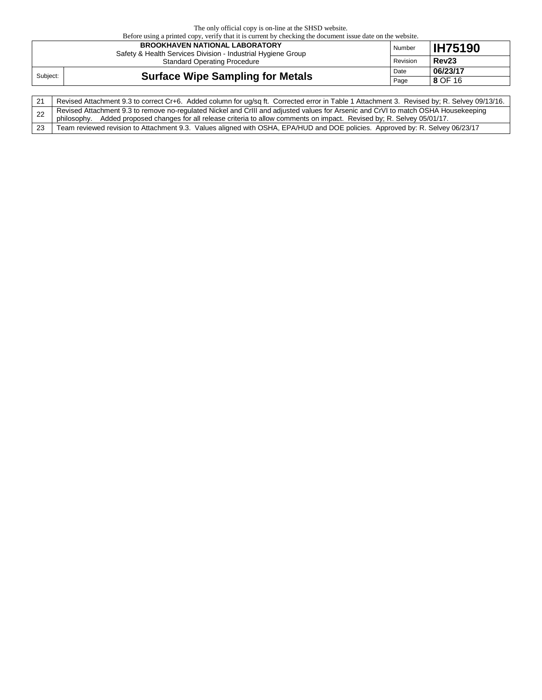| Before using a printed copy, verify that it is current by checking the document issue date on the website. |                                                                                                       |          |                   |  |  |  |  |  |
|------------------------------------------------------------------------------------------------------------|-------------------------------------------------------------------------------------------------------|----------|-------------------|--|--|--|--|--|
|                                                                                                            | <b>BROOKHAVEN NATIONAL LABORATORY</b><br>Safety & Health Services Division - Industrial Hygiene Group | Number   | <b>IH75190</b>    |  |  |  |  |  |
|                                                                                                            | <b>Standard Operating Procedure</b>                                                                   | Revision | Rev <sub>23</sub> |  |  |  |  |  |
| Subject:                                                                                                   | <b>Surface Wipe Sampling for Metals</b>                                                               |          | 06/23/17          |  |  |  |  |  |
|                                                                                                            |                                                                                                       |          | 8 OF 16           |  |  |  |  |  |

| Revised Attachment 9.3 to correct Cr+6. Added column for ug/sq ft. Corrected error in Table 1 Attachment 3. Revised by; R. Selvey 09/13/16.                                                                                                                    |
|----------------------------------------------------------------------------------------------------------------------------------------------------------------------------------------------------------------------------------------------------------------|
| Revised Attachment 9.3 to remove no-regulated Nickel and CrIII and adjusted values for Arsenic and CrVI to match OSHA Housekeeping<br>philosophy. Added proposed changes for all release criteria to allow comments on impact. Revised by; R. Selvey 05/01/17. |
| Team reviewed revision to Attachment 9.3. Values aligned with OSHA, EPA/HUD and DOE policies. Approved by: R. Selvey 06/23/17                                                                                                                                  |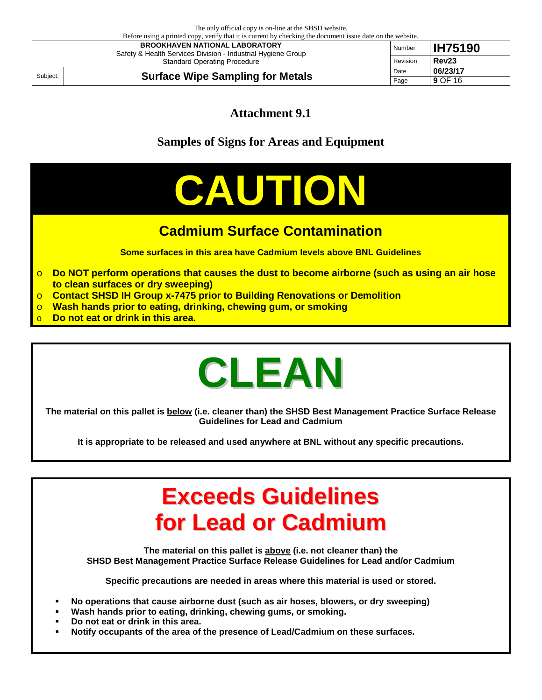Before using a printed copy, verify that it is current by checking the document issue date on the website. **BROOKHAVEN NATIONAL LABORATORY** Safety & Health Services Division - Industrial Hygiene Group Standard Operating Procedure Number **IH75190** Revision **Rev23**  Subject: **Surface Wipe Sampling for Metals** Date 196/23/17 **9** OF 16

**Attachment 9.1**

**Samples of Signs for Areas and Equipment**

# **CAUTION**

# **Cadmium Surface Contamination**

**Some surfaces in this area have Cadmium levels above BNL Guidelines**

- o **Do NOT perform operations that causes the dust to become airborne (such as using an air hose to clean surfaces or dry sweeping)**
- o **Contact SHSD IH Group x-7475 prior to Building Renovations or Demolition**
- o **Wash hands prior to eating, drinking, chewing gum, or smoking**
- Do not eat or drink in this area.

# **CLEAN**

**The material on this pallet is below (i.e. cleaner than) the SHSD Best Management Practice Surface Release Guidelines for Lead and Cadmium**

**It is appropriate to be released and used anywhere at BNL without any specific precautions.**

# **Exceeds Guidelines for Lead or Cadmium**

**The material on this pallet is above (i.e. not cleaner than) the SHSD Best Management Practice Surface Release Guidelines for Lead and/or Cadmium**

**Specific precautions are needed in areas where this material is used or stored.** 

- **No operations that cause airborne dust (such as air hoses, blowers, or dry sweeping)**
- **Wash hands prior to eating, drinking, chewing gums, or smoking.**
- **Do not eat or drink in this area.**
- **Notify occupants of the area of the presence of Lead/Cadmium on these surfaces.**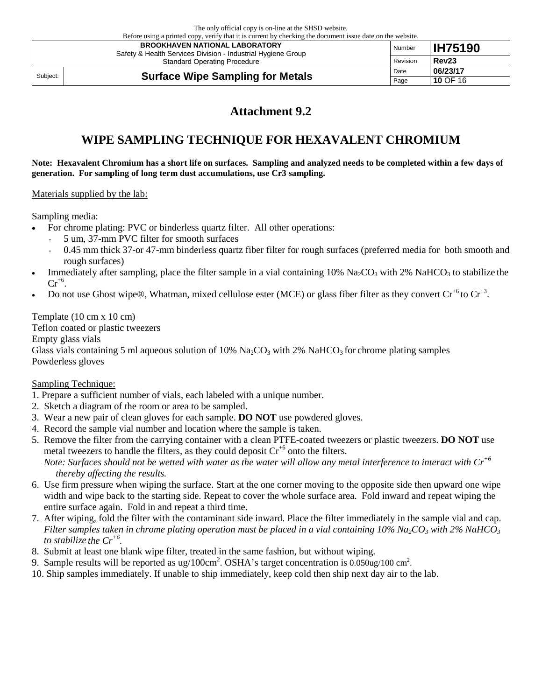Before using a printed copy, verify that it is current by checking the document issue date on the website. **BROOKHAVEN NATIONAL LABORATORY** Safety & Health Services Division - Industrial Hygiene Group Standard Operating Procedure Number **IH75190** Revision **Rev23** 

Subject: **Surface Wipe Sampling for Metals Date D6/23/17 Page 10 OF 16** Page **10** OF 16

# **Attachment 9.2**

# **WIPE SAMPLING TECHNIQUE FOR HEXAVALENT CHROMIUM**

**Note: Hexavalent Chromium has a short life on surfaces. Sampling and analyzed needs to be completed within a few days of generation. For sampling of long term dust accumulations, use Cr3 sampling.**

#### Materials supplied by the lab:

Sampling media:

- For chrome plating: PVC or binderless quartz filter. All other operations:
	- 5 um, 37-mm PVC filter for smooth surfaces
	- 0.45 mm thick 37-or 47-mm binderless quartz fiber filter for rough surfaces (preferred media for both smooth and rough surfaces)
- Immediately after sampling, place the filter sample in a vial containing  $10\%$  Na<sub>2</sub>CO<sub>3</sub> with 2% NaHCO<sub>3</sub> to stabilize the  $Cr^{+6}$ .
- Do not use Ghost wipe®, Whatman, mixed cellulose ester (MCE) or glass fiber filter as they convert  $Cr^{+6}$  to  $Cr^{+3}$ .

Template (10 cm x 10 cm)

Teflon coated or plastic tweezers Empty glass vials Glass vials containing 5 ml aqueous solution of 10%  $\text{Na}_2\text{CO}_3$  with 2%  $\text{NaHCO}_3$  for chrome plating samples Powderless gloves

#### Sampling Technique:

- 1. Prepare a sufficient number of vials, each labeled with a unique number.
- 2. Sketch a diagram of the room or area to be sampled.
- 3. Wear a new pair of clean gloves for each sample. **DO NOT** use powdered gloves.
- 4. Record the sample vial number and location where the sample is taken.
- 5. Remove the filter from the carrying container with a clean PTFE-coated tweezers or plastic tweezers. **DO NOT** use metal tweezers to handle the filters, as they could deposit  $Cr^{+6}$  onto the filters. *Note: Surfaces should not be wetted with water as the water will allow any metal interference to interact with Cr+6 thereby affecting the results.*
- 6. Use firm pressure when wiping the surface. Start at the one corner moving to the opposite side then upward one wipe width and wipe back to the starting side. Repeat to cover the whole surface area. Fold inward and repeat wiping the entire surface again. Fold in and repeat a third time.
- 7. After wiping, fold the filter with the contaminant side inward. Place the filter immediately in the sample vial and cap. *Filter samples taken in chrome plating operation must be placed in a vial containing*  $10\%$  *Na<sub>2</sub>CO<sub>3</sub> with 2% NaHCO<sub>3</sub> to stabilize the Cr+6.*
- 8. Submit at least one blank wipe filter, treated in the same fashion, but without wiping.
- 9. Sample results will be reported as ug/100cm<sup>2</sup>. OSHA's target concentration is  $0.050$ ug/100 cm<sup>2</sup>.
- 10. Ship samples immediately. If unable to ship immediately, keep cold then ship next day air to the lab.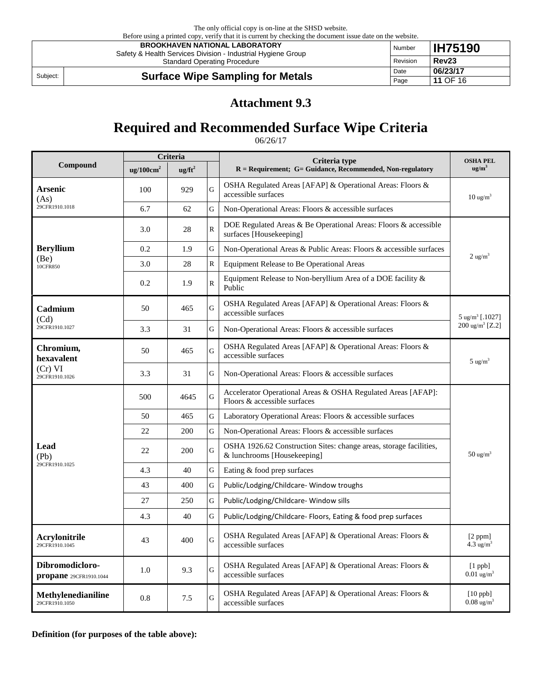|          | Before using a printed copy, verify that it is current by checking the document issue date on the website. |          |                   |  |  |  |  |  |  |
|----------|------------------------------------------------------------------------------------------------------------|----------|-------------------|--|--|--|--|--|--|
|          | <b>BROOKHAVEN NATIONAL LABORATORY</b><br>Safety & Health Services Division - Industrial Hygiene Group      | Number   | <b>IH75190</b>    |  |  |  |  |  |  |
|          | <b>Standard Operating Procedure</b>                                                                        | Revision | Rev <sub>23</sub> |  |  |  |  |  |  |
|          |                                                                                                            |          | 06/23/17          |  |  |  |  |  |  |
| Subject: | <b>Surface Wipe Sampling for Metals</b>                                                                    | Page     | 11 OF 16          |  |  |  |  |  |  |

## **Attachment 9.3**

# **Required and Recommended Surface Wipe Criteria**

06/26/17

|                                           | Criteria              |                  |                         | Criteria type                                                                                     | <b>OSHA PEL</b>                     |  |
|-------------------------------------------|-----------------------|------------------|-------------------------|---------------------------------------------------------------------------------------------------|-------------------------------------|--|
| Compound                                  | ug/100cm <sup>2</sup> | $\text{ug/ft}^2$ |                         | $R =$ Requirement; $G =$ Guidance, Recommended, Non-regulatory                                    | ug/m <sup>3</sup>                   |  |
| Arsenic<br>(As)                           | 100                   | 929              | G                       | OSHA Regulated Areas [AFAP] & Operational Areas: Floors &<br>accessible surfaces                  | $10 \text{ ug/m}^3$                 |  |
| 29CFR1910.1018                            | 6.7                   | 62               | G                       | Non-Operational Areas: Floors & accessible surfaces                                               |                                     |  |
|                                           | 3.0                   | 28               | $\overline{\mathsf{R}}$ | DOE Regulated Areas & Be Operational Areas: Floors & accessible<br>surfaces [Housekeeping]        |                                     |  |
| <b>Beryllium</b>                          | 0.2                   | 1.9              | G                       | Non-Operational Areas & Public Areas: Floors & accessible surfaces                                |                                     |  |
| (Be)<br>10CFR850                          | 3.0                   | 28               | $\overline{\mathsf{R}}$ | Equipment Release to Be Operational Areas                                                         | $2 \text{ ug/m}^3$                  |  |
|                                           | 0.2                   | 1.9              | $\overline{\mathsf{R}}$ | Equipment Release to Non-beryllium Area of a DOE facility &<br>Public                             |                                     |  |
| Cadmium<br>(Cd)                           | 50                    | 465              | G                       | OSHA Regulated Areas [AFAP] & Operational Areas: Floors &<br>accessible surfaces                  | $5 \text{ ug/m}^3$ [.1027]          |  |
| 29CFR1910.1027                            | 3.3                   | 31               | G                       | Non-Operational Areas: Floors & accessible surfaces                                               | $200 \text{ ug/m}^3$ [Z.2]          |  |
| Chromium,<br>hexavalent                   | 50                    | 465              | G                       | OSHA Regulated Areas [AFAP] & Operational Areas: Floors &<br>accessible surfaces                  | $5 \text{ ug/m}^3$                  |  |
| (Cr) VI<br>29CFR1910.1026                 | 3.3                   | 31               | G                       | Non-Operational Areas: Floors & accessible surfaces                                               |                                     |  |
|                                           | 500                   | 4645             | Ġ                       | Accelerator Operational Areas & OSHA Regulated Areas [AFAP]:<br>Floors & accessible surfaces      |                                     |  |
|                                           | 50                    | 465              | G                       | Laboratory Operational Areas: Floors & accessible surfaces                                        |                                     |  |
|                                           | 22                    | 200              | G                       | Non-Operational Areas: Floors & accessible surfaces                                               |                                     |  |
| Lead<br>(Pb)                              | 22                    | 200              | G                       | OSHA 1926.62 Construction Sites: change areas, storage facilities,<br>& lunchrooms [Housekeeping] | $50 \text{ ug/m}^3$                 |  |
| 29CFR1910.1025                            | 4.3                   | 40               | G                       | Eating & food prep surfaces                                                                       |                                     |  |
|                                           | 43                    | 400              | G                       | Public/Lodging/Childcare-Window troughs                                                           |                                     |  |
|                                           | 27                    | 250              | G                       | Public/Lodging/Childcare-Window sills                                                             |                                     |  |
|                                           | 4.3                   | 40               | G                       | Public/Lodging/Childcare- Floors, Eating & food prep surfaces                                     |                                     |  |
| Acrylonitrile<br>29CFR1910.1045           | 43                    | 400              | Ġ                       | OSHA Regulated Areas [AFAP] & Operational Areas: Floors &<br>accessible surfaces                  | [2 ppm]<br>$4.3 \text{ ug/m}^3$     |  |
| Dibromodicloro-<br>propane 29CFR1910.1044 | 1.0                   | 9.3              | G                       | OSHA Regulated Areas [AFAP] & Operational Areas: Floors $\&$<br>accessible surfaces               | $[1$ ppb]<br>$0.01 \text{ ug/m}^3$  |  |
| Methylenedianiline<br>29CFR1910.1050      | 0.8                   | 7.5              | Ġ                       | OSHA Regulated Areas [AFAP] & Operational Areas: Floors &<br>accessible surfaces                  | $[10$ ppb]<br>$0.08 \text{ ug/m}^3$ |  |

**Definition (for purposes of the table above):**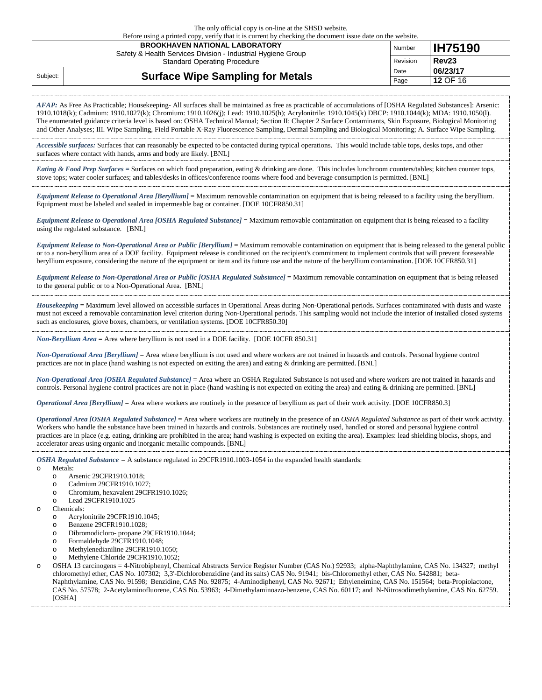Before using a printed copy, verify that it is current by checking the document issue date on the website.

|          | <b>BROOKHAVEN NATIONAL LABORATORY</b><br>Safety & Health Services Division - Industrial Hygiene Group | Number   | <b>IH75190</b>    |
|----------|-------------------------------------------------------------------------------------------------------|----------|-------------------|
|          | <b>Standard Operating Procedure</b>                                                                   | Revision | Rev <sub>23</sub> |
| Subject: |                                                                                                       | Date     | 06/23/17          |
|          | <b>Surface Wipe Sampling for Metals</b>                                                               | Page     | 12 OF 16          |

*AFAP:* As Free As Practicable; Housekeeping- All surfaces shall be maintained as free as practicable of accumulations of [OSHA Regulated Substances]: Arsenic: 1910.1018(k); Cadmium: 1910.1027(k); Chromium: 1910.1026(j); Lead: 1910.1025(h); Acrylonitrile: 1910.1045(k) DBCP: 1910.1044(k); MDA: 1910.1050(l). The enumerated guidance criteria level is based on: OSHA Technical Manual; Section II: Chapter 2 Surface Contaminants, Skin Exposure, Biological Monitoring and Other Analyses; III. Wipe Sampling, Field Portable X-Ray Fluorescence Sampling, Dermal Sampling and Biological Monitoring; A. Surface Wipe Sampling.

*Accessible surfaces:* Surfaces that can reasonably be expected to be contacted during typical operations. This would include table tops, desks tops, and other surfaces where contact with hands, arms and body are likely. [BNL]

*Eating & Food Prep Surfaces =* Surfaces on which food preparation, eating & drinking are done. This includes lunchroom counters/tables; kitchen counter tops, stove tops; water cooler surfaces; and tables/desks in offices/conference rooms where food and beverage consumption is permitted. [BNL]

*Equipment Release to Operational Area [Beryllium]* = Maximum removable contamination on equipment that is being released to a facility using the beryllium. Equipment must be labeled and sealed in impermeable bag or container. [DOE 10CFR850.31]

*Equipment Release to Operational Area [OSHA Regulated Substance]* = Maximum removable contamination on equipment that is being released to a facility using the regulated substance. [BNL]

*Equipment Release to Non-Operational Area or Public [Beryllium]* = Maximum removable contamination on equipment that is being released to the general public or to a non-beryllium area of a DOE facility. Equipment release is conditioned on the recipient's commitment to implement controls that will prevent foreseeable beryllium exposure, considering the nature of the equipment or item and its future use and the nature of the beryllium contamination. [DOE 10CFR850.31]

*Equipment Release to Non-Operational Area or Public [OSHA Regulated Substance]* = Maximum removable contamination on equipment that is being released to the general public or to a Non-Operational Area. [BNL]

*Housekeeping* = Maximum level allowed on accessible surfaces in Operational Areas during Non-Operational periods. Surfaces contaminated with dusts and waste must not exceed a removable contamination level criterion during Non-Operational periods. This sampling would not include the interior of installed closed systems such as enclosures, glove boxes, chambers, or ventilation systems. [DOE 10CFR850.30]

*Non-Beryllium Area* = Area where beryllium is not used in a DOE facility. [DOE 10CFR 850.31]

*Non-Operational Area [Beryllium]* = Area where beryllium is not used and where workers are not trained in hazards and controls. Personal hygiene control practices are not in place (hand washing is not expected on exiting the area) and eating & drinking are permitted. [BNL]

*Non-Operational Area [OSHA Regulated Substance]* = Area where an OSHA Regulated Substance is not used and where workers are not trained in hazards and controls. Personal hygiene control practices are not in place (hand washing is not expected on exiting the area) and eating & drinking are permitted. [BNL]

*Operational Area [Beryllium]* = Area where workers are routinely in the presence of beryllium as part of their work activity. [DOE 10CFR850.3]

*Operational Area [OSHA Regulated Substance]* = Area where workers are routinely in the presence of an *OSHA Regulated Substance* as part of their work activity. Workers who handle the substance have been trained in hazards and controls. Substances are routinely used, handled or stored and personal hygiene control practices are in place (e.g. eating, drinking are prohibited in the area; hand washing is expected on exiting the area). Examples: lead shielding blocks, shops, and accelerator areas using organic and inorganic metallic compounds. [BNL]

*OSHA Regulated Substance =* A substance regulated in 29CFR1910.1003-1054 in the expanded health standards:

- o Metals:
	- o Arsenic 29CFR1910.1018;<br>
	o Cadmium 29CFR1910.102
	- Cadmium 29CFR1910.1027:
	- o Chromium, hexavalent 29CFR1910.1026;
	- o Lead 29CFR1910.1025
- o Chemicals:
	- o Acrylonitrile 29CFR1910.1045;<br>
	o Benzene 29CFR1910.1028:
	- Benzene 29CFR1910.1028;
	- o Dibromodicloro- propane 29CFR1910.1044;
	- Formaldehyde 29CFR1910.1048;
	- o Methylenedianiline 29CFR1910.1050;
	- o Methylene Chloride 29CFR1910.1052;

o OSHA 13 carcinogens = 4-Nitrobiphenyl, Chemical Abstracts Service Register Number (CAS No.) 92933; alpha-Naphthylamine, CAS No. 134327; methyl chloromethyl ether, CAS No. 107302; 3,3'-Dichlorobenzidine (and its salts) CAS No. 91941; bis-Chloromethyl ether, CAS No. 542881; beta-Naphthylamine, CAS No. 91598; Benzidine, CAS No. 92875; 4-Aminodiphenyl, CAS No. 92671; Ethyleneimine, CAS No. 151564; beta-Propiolactone, CAS No. 57578; 2-Acetylaminofluorene, CAS No. 53963; 4-Dimethylaminoazo-benzene, CAS No. 60117; and N-Nitrosodimethylamine, CAS No. 62759. [OSHA]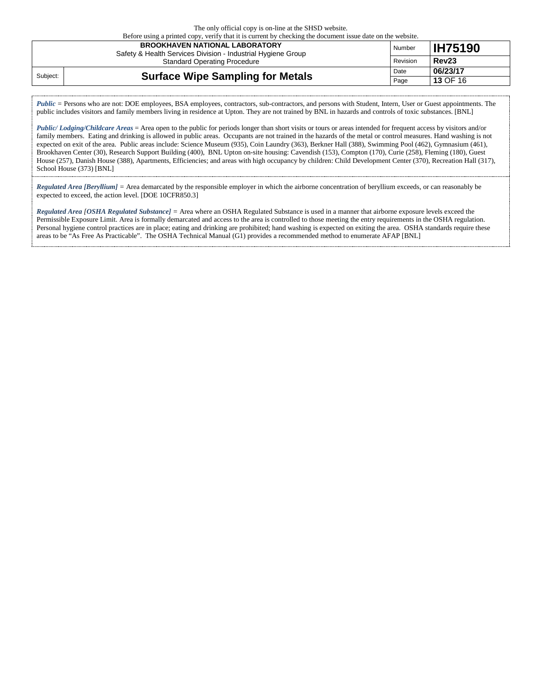Before using a printed copy, verify that it is current by checking the document issue date on the website.

|          | <b>BROOKHAVEN NATIONAL LABORATORY</b><br>Safety & Health Services Division - Industrial Hygiene Group | Number   | <b>IH75190</b>    |
|----------|-------------------------------------------------------------------------------------------------------|----------|-------------------|
|          | <b>Standard Operating Procedure</b>                                                                   | Revision | Rev <sub>23</sub> |
| Subject: |                                                                                                       |          | 06/23/17          |
|          | <b>Surface Wipe Sampling for Metals</b>                                                               | Page     | <b>13 OF 16</b>   |

*Public* = Persons who are not: DOE employees, BSA employees, contractors, sub-contractors, and persons with Student, Intern, User or Guest appointments. The public includes visitors and family members living in residence at Upton. They are not trained by BNL in hazards and controls of toxic substances. [BNL]

*Public/ Lodging/Childcare Areas* = Area open to the public for periods longer than short visits or tours or areas intended for frequent access by visitors and/or family members. Eating and drinking is allowed in public areas. Occupants are not trained in the hazards of the metal or control measures. Hand washing is not expected on exit of the area. Public areas include: Science Museum (935), Coin Laundry (363), Berkner Hall (388), Swimming Pool (462), Gymnasium (461), Brookhaven Center (30), Research Support Building (400), BNL Upton on-site housing: Cavendish (153), Compton (170), Curie (258), Fleming (180), Guest House (257), Danish House (388), Apartments, Efficiencies; and areas with high occupancy by children: Child Development Center (370), Recreation Hall (317), School House (373) [BNL]

*Regulated Area [Beryllium] =* Area demarcated by the responsible employer in which the airborne concentration of beryllium exceeds, or can reasonably be expected to exceed, the action level. [DOE 10CFR850.3]

*Regulated Area [OSHA Regulated Substance] =* Area where an OSHA Regulated Substance is used in a manner that airborne exposure levels exceed the Permissible Exposure Limit. Area is formally demarcated and access to the area is controlled to those meeting the entry requirements in the OSHA regulation. Personal hygiene control practices are in place; eating and drinking are prohibited; hand washing is expected on exiting the area. OSHA standards require these areas to be "As Free As Practicable". The OSHA Technical Manual (G1) provides a recommended method to enumerate AFAP [BNL]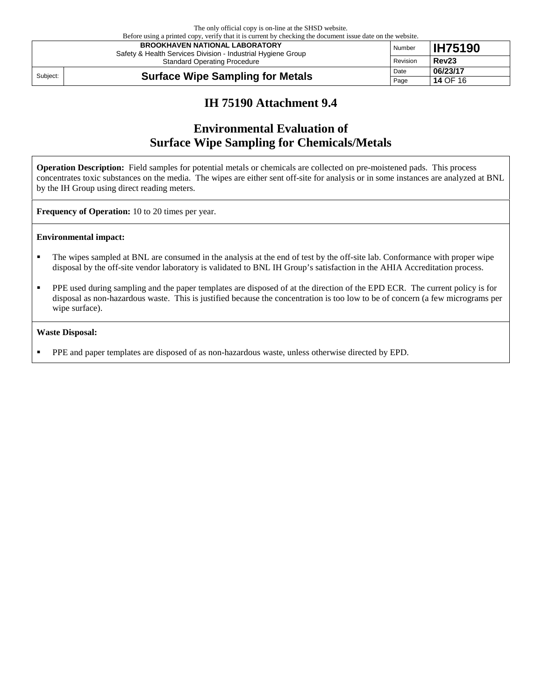The only official copy is on-line at the SHSD website. Before using a printed copy, verify that it is current by checking the document issue date on the website.

|          | Defore using a printed copy, verify that it is current by checking the document issue date on the website.<br><b>BROOKHAVEN NATIONAL LABORATORY</b><br>Safety & Health Services Division - Industrial Hygiene Group | Number   | <b>IH75190</b>    |
|----------|---------------------------------------------------------------------------------------------------------------------------------------------------------------------------------------------------------------------|----------|-------------------|
|          | <b>Standard Operating Procedure</b>                                                                                                                                                                                 | Revision | Rev <sub>23</sub> |
| Subject: | Date<br><b>Surface Wipe Sampling for Metals</b><br>Page                                                                                                                                                             |          | 06/23/17          |
|          |                                                                                                                                                                                                                     |          | <b>14 OF 16</b>   |

## **IH 75190 Attachment 9.4**

# **Environmental Evaluation of Surface Wipe Sampling for Chemicals/Metals**

**Operation Description:** Field samples for potential metals or chemicals are collected on pre-moistened pads. This process concentrates toxic substances on the media. The wipes are either sent off-site for analysis or in some instances are analyzed at BNL by the IH Group using direct reading meters.

**Frequency of Operation:** 10 to 20 times per year.

#### **Environmental impact:**

- The wipes sampled at BNL are consumed in the analysis at the end of test by the off-site lab. Conformance with proper wipe disposal by the off-site vendor laboratory is validated to BNL IH Group's satisfaction in the AHIA Accreditation process.
- **PPE** used during sampling and the paper templates are disposed of at the direction of the EPD ECR. The current policy is for disposal as non-hazardous waste. This is justified because the concentration is too low to be of concern (a few micrograms per wipe surface).

#### **Waste Disposal:**

**PPE** and paper templates are disposed of as non-hazardous waste, unless otherwise directed by EPD.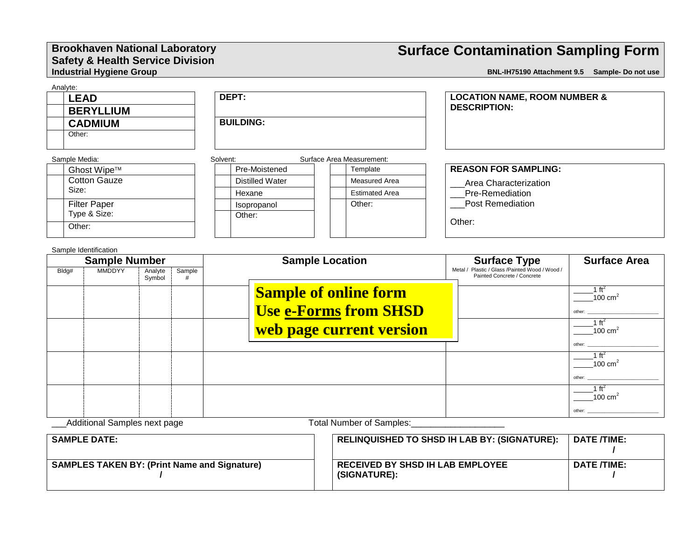#### **Brookhaven National Laboratory Safety & Health Service Division Industrial Hygiene Group**

# **Surface Contamination Sampling Form**

**BNL-IH75190 Attachment 9.5 Sample- Do not use** 

| Analyte:<br><b>LEAD</b><br><b>BERYLLIUM</b>                         | DEPT:            |                           | <b>LOCATION NAME, ROOM NUMBER &amp;</b><br><b>DESCRIPTION:</b>         |                     |  |  |
|---------------------------------------------------------------------|------------------|---------------------------|------------------------------------------------------------------------|---------------------|--|--|
| <b>CADMIUM</b>                                                      | <b>BUILDING:</b> |                           |                                                                        |                     |  |  |
| Other:                                                              |                  |                           |                                                                        |                     |  |  |
| Sample Media:                                                       | Solvent:         | Surface Area Measurement: |                                                                        |                     |  |  |
| Ghost Wipe™                                                         | Pre-Moistened    | Template                  | <b>REASON FOR SAMPLING:</b>                                            |                     |  |  |
| <b>Cotton Gauze</b>                                                 | Distilled Water  | Measured Area             | Area Characterization                                                  |                     |  |  |
| Size:                                                               | Hexane           | <b>Estimated Area</b>     | Pre-Remediation                                                        |                     |  |  |
| <b>Filter Paper</b>                                                 | Isopropanol      | Other:                    | <b>Post Remediation</b>                                                |                     |  |  |
| Type & Size:                                                        | Other:           |                           |                                                                        |                     |  |  |
| Other:                                                              |                  |                           | Other:                                                                 |                     |  |  |
| Sample Identification                                               |                  |                           |                                                                        |                     |  |  |
| <b>Sample Number</b><br>$MMDDMA$ $\downarrow$ $A=1.1.$<br>$D1 - L1$ |                  | <b>Sample Location</b>    | <b>Surface Type</b><br>Motel / Plastic / Close / Pointed Wood / Wood / | <b>Surface Area</b> |  |  |

| Sample Number |                              | Sample Location   | Surrace Type | <b>Surrace Area</b>                                          |                                                                               |                              |
|---------------|------------------------------|-------------------|--------------|--------------------------------------------------------------|-------------------------------------------------------------------------------|------------------------------|
| Bldg#         | <b>MMDDYY</b>                | Analyte<br>Symbol | Sample       |                                                              | Metal / Plastic / Glass /Painted Wood / Wood /<br>Painted Concrete / Concrete |                              |
|               |                              |                   |              | <b>Sample of online form</b><br><b>Use e-Forms from SHSD</b> |                                                                               | 100 $cm2$<br>other:          |
|               |                              |                   |              | web page current version                                     |                                                                               | $100 \text{ cm}^2$           |
|               |                              |                   |              |                                                              |                                                                               | other:                       |
|               |                              |                   |              |                                                              |                                                                               | $100 \text{ cm}^2$<br>other: |
|               |                              |                   |              |                                                              |                                                                               | 100 cm $\frac{2}{3}$         |
|               | Additional Complex noutlease |                   |              | Total Number of Complete                                     |                                                                               | other:                       |

\_Additional Samples next page Total Number of Samples:\_

| <b>SAMPLE DATE:</b>                                 | RELINQUISHED TO SHSD IH LAB BY: (SIGNATURE):            | <b>DATE /TIME:</b> |
|-----------------------------------------------------|---------------------------------------------------------|--------------------|
| <b>SAMPLES TAKEN BY: (Print Name and Signature)</b> | <b>RECEIVED BY SHSD IH LAB EMPLOYEE</b><br>(SIGNATURE): | DATE /TIME:        |